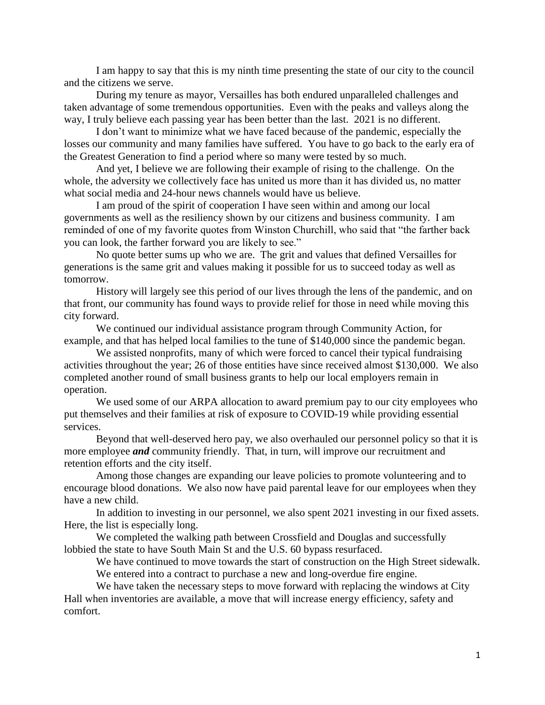I am happy to say that this is my ninth time presenting the state of our city to the council and the citizens we serve.

During my tenure as mayor, Versailles has both endured unparalleled challenges and taken advantage of some tremendous opportunities. Even with the peaks and valleys along the way, I truly believe each passing year has been better than the last. 2021 is no different.

I don't want to minimize what we have faced because of the pandemic, especially the losses our community and many families have suffered. You have to go back to the early era of the Greatest Generation to find a period where so many were tested by so much.

And yet, I believe we are following their example of rising to the challenge. On the whole, the adversity we collectively face has united us more than it has divided us, no matter what social media and 24-hour news channels would have us believe.

I am proud of the spirit of cooperation I have seen within and among our local governments as well as the resiliency shown by our citizens and business community. I am reminded of one of my favorite quotes from Winston Churchill, who said that "the farther back you can look, the farther forward you are likely to see."

No quote better sums up who we are. The grit and values that defined Versailles for generations is the same grit and values making it possible for us to succeed today as well as tomorrow.

History will largely see this period of our lives through the lens of the pandemic, and on that front, our community has found ways to provide relief for those in need while moving this city forward.

We continued our individual assistance program through Community Action, for example, and that has helped local families to the tune of \$140,000 since the pandemic began.

We assisted nonprofits, many of which were forced to cancel their typical fundraising activities throughout the year; 26 of those entities have since received almost \$130,000. We also completed another round of small business grants to help our local employers remain in operation.

We used some of our ARPA allocation to award premium pay to our city employees who put themselves and their families at risk of exposure to COVID-19 while providing essential services.

Beyond that well-deserved hero pay, we also overhauled our personnel policy so that it is more employee *and* community friendly. That, in turn, will improve our recruitment and retention efforts and the city itself.

Among those changes are expanding our leave policies to promote volunteering and to encourage blood donations. We also now have paid parental leave for our employees when they have a new child.

In addition to investing in our personnel, we also spent 2021 investing in our fixed assets. Here, the list is especially long.

We completed the walking path between Crossfield and Douglas and successfully lobbied the state to have South Main St and the U.S. 60 bypass resurfaced.

We have continued to move towards the start of construction on the High Street sidewalk. We entered into a contract to purchase a new and long-overdue fire engine.

We have taken the necessary steps to move forward with replacing the windows at City Hall when inventories are available, a move that will increase energy efficiency, safety and comfort.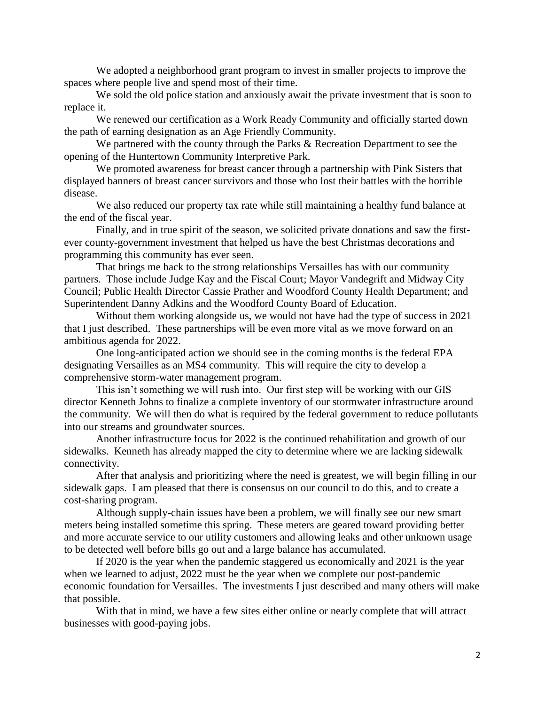We adopted a neighborhood grant program to invest in smaller projects to improve the spaces where people live and spend most of their time.

We sold the old police station and anxiously await the private investment that is soon to replace it.

We renewed our certification as a Work Ready Community and officially started down the path of earning designation as an Age Friendly Community.

We partnered with the county through the Parks & Recreation Department to see the opening of the Huntertown Community Interpretive Park.

We promoted awareness for breast cancer through a partnership with Pink Sisters that displayed banners of breast cancer survivors and those who lost their battles with the horrible disease.

We also reduced our property tax rate while still maintaining a healthy fund balance at the end of the fiscal year.

Finally, and in true spirit of the season, we solicited private donations and saw the firstever county-government investment that helped us have the best Christmas decorations and programming this community has ever seen.

That brings me back to the strong relationships Versailles has with our community partners. Those include Judge Kay and the Fiscal Court; Mayor Vandegrift and Midway City Council; Public Health Director Cassie Prather and Woodford County Health Department; and Superintendent Danny Adkins and the Woodford County Board of Education.

Without them working alongside us, we would not have had the type of success in 2021 that I just described. These partnerships will be even more vital as we move forward on an ambitious agenda for 2022.

One long-anticipated action we should see in the coming months is the federal EPA designating Versailles as an MS4 community. This will require the city to develop a comprehensive storm-water management program.

This isn't something we will rush into. Our first step will be working with our GIS director Kenneth Johns to finalize a complete inventory of our stormwater infrastructure around the community. We will then do what is required by the federal government to reduce pollutants into our streams and groundwater sources.

Another infrastructure focus for 2022 is the continued rehabilitation and growth of our sidewalks. Kenneth has already mapped the city to determine where we are lacking sidewalk connectivity.

After that analysis and prioritizing where the need is greatest, we will begin filling in our sidewalk gaps. I am pleased that there is consensus on our council to do this, and to create a cost-sharing program.

Although supply-chain issues have been a problem, we will finally see our new smart meters being installed sometime this spring. These meters are geared toward providing better and more accurate service to our utility customers and allowing leaks and other unknown usage to be detected well before bills go out and a large balance has accumulated.

If 2020 is the year when the pandemic staggered us economically and 2021 is the year when we learned to adjust, 2022 must be the year when we complete our post-pandemic economic foundation for Versailles. The investments I just described and many others will make that possible.

With that in mind, we have a few sites either online or nearly complete that will attract businesses with good-paying jobs.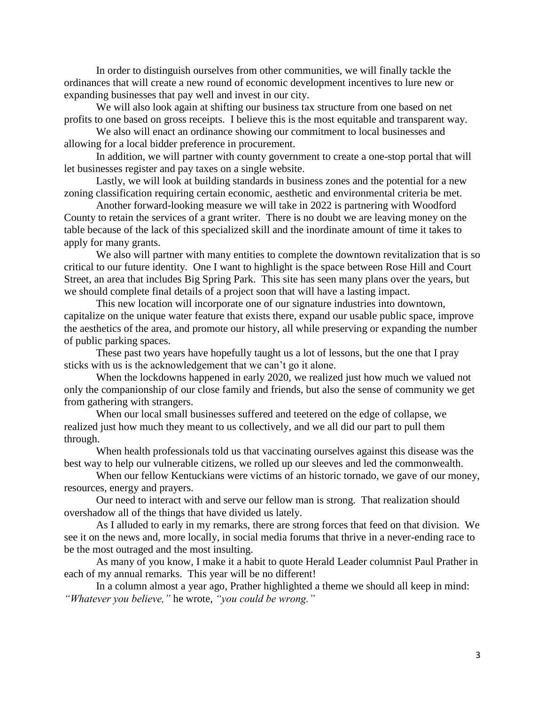In order to distinguish ourselves from other communities, we will finally tackle the ordinances that will create a new round of economic development incentives to lure new or expanding businesses that pay well and invest in our city.

We will also look again at shifting our business tax structure from one based on net profits to one based on gross receipts. I believe this is the most equitable and transparent way.

We also will enact an ordinance showing our commitment to local businesses and allowing for a local bidder preference in procurement.

In addition, we will partner with county government to create a one-stop portal that will let businesses register and pay taxes on a single website.

Lastly, we will look at building standards in business zones and the potential for a new zoning classification requiring certain economic, aesthetic and environmental criteria be met.

Another forward-looking measure we will take in 2022 is partnering with Woodford County to retain the services of a grant writer. There is no doubt we are leaving money on the table because of the lack of this specialized skill and the inordinate amount of time it takes to apply for many grants.

We also will partner with many entities to complete the downtown revitalization that is so critical to our future identity. One I want to highlight is the space between Rose Hill and Court Street, an area that includes Big Spring Park. This site has seen many plans over the years, but we should complete final details of a project soon that will have a lasting impact.

This new location will incorporate one of our signature industries into downtown, capitalize on the unique water feature that exists there, expand our usable public space, improve the aesthetics of the area, and promote our history, all while preserving or expanding the number of public parking spaces.

These past two years have hopefully taught us a lot of lessons, but the one that I pray sticks with us is the acknowledgement that we can't go it alone.

When the lockdowns happened in early 2020, we realized just how much we valued not only the companionship of our close family and friends, but also the sense of community we get from gathering with strangers.

When our local small businesses suffered and teetered on the edge of collapse, we realized just how much they meant to us collectively, and we all did our part to pull them through.

When health professionals told us that vaccinating ourselves against this disease was the best way to help our vulnerable citizens, we rolled up our sleeves and led the commonwealth.

When our fellow Kentuckians were victims of an historic tornado, we gave of our money, resources, energy and prayers.

Our need to interact with and serve our fellow man is strong. That realization should overshadow all of the things that have divided us lately.

As I alluded to early in my remarks, there are strong forces that feed on that division. We see it on the news and, more locally, in social media forums that thrive in a never-ending race to be the most outraged and the most insulting.

As many of you know, I make it a habit to quote Herald Leader columnist Paul Prather in each of my annual remarks. This year will be no different!

In a column almost a year ago, Prather highlighted a theme we should all keep in mind: *"Whatever you believe,"* he wrote, *"you could be wrong."*